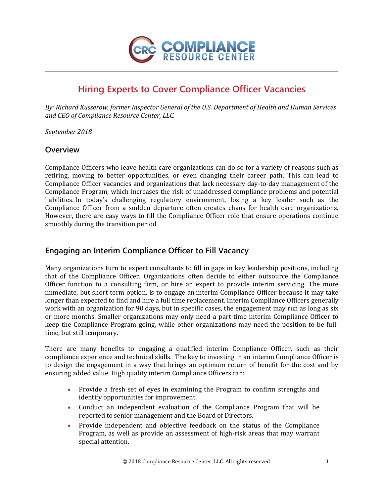

# **Hiring Experts to Cover Compliance Officer Vacancies**

*By: Richard Kusserow, former Inspector General of the U.S. Department of Health and Human Services and CEO of Compliance Resource Center, LLC.*

*September 2018*

### **Overview**

Compliance Officers who leave health care organizations can do so for a variety of reasons such as retiring, moving to better opportunities, or even changing their career path. This can lead to Compliance Officer vacancies and organizations that lack necessary day-to-day management of the Compliance Program, which increases the risk of unaddressed compliance problems and potential liabilities. In today's challenging regulatory environment, losing a key leader such as the Compliance Officer from a sudden departure often creates chaos for health care organizations. However, there are easy ways to fill the Compliance Officer role that ensure operations continue smoothly during the transition period.

## **Engaging an Interim Compliance Officer to Fill Vacancy**

Many organizations turn to expert consultants to fill in gaps in key leadership positions, including that of the Compliance Officer. Organizations often decide to either outsource the Compliance Officer function to a consulting firm, or hire an expert to provide interim servicing. The more immediate, but short term option, is to engage an interim Compliance Officer because it may take longer than expected to find and hire a full time replacement. Interim Compliance Officers generally work with an organization for 90 days, but in specific cases, the engagement may run as long as six or more months. Smaller organizations may only need a part-time interim Compliance Officer to keep the Compliance Program going, while other organizations may need the position to be fulltime, but still temporary.

There are many benefits to engaging a qualified interim Compliance Officer, such as their compliance experience and technical skills. The key to investing in an interim Compliance Officer is to design the engagement in a way that brings an optimum return of benefit for the cost and by ensuring added value. High quality interim Compliance Officers can:

- Provide a fresh set of eyes in examining the Program to confirm strengths and identify opportunities for improvement.
- Conduct an independent evaluation of the Compliance Program that will be reported to senior management and the Board of Directors.
- Provide independent and objective feedback on the status of the Compliance Program, as well as provide an assessment of high-risk areas that may warrant special attention.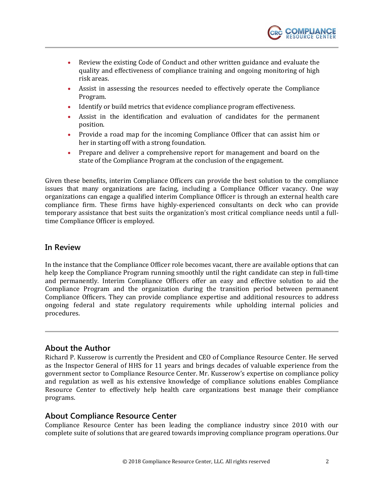

- Review the existing Code of Conduct and other written guidance and evaluate the quality and effectiveness of compliance training and ongoing monitoring of high risk areas.
- Assist in assessing the resources needed to effectively operate the Compliance Program.
- Identify or build metrics that evidence compliance program effectiveness.
- Assist in the identification and evaluation of candidates for the permanent position.
- Provide a road map for the incoming Compliance Officer that can assist him or her in starting off with a strong foundation.
- Prepare and deliver a comprehensive report for management and board on the state of the Compliance Program at the conclusion of the engagement.

Given these benefits, interim Compliance Officers can provide the best solution to the compliance issues that many organizations are facing, including a Compliance Officer vacancy. One way organizations can engage a qualified interim Compliance Officer is through an external health care compliance firm. These firms have highly-experienced consultants on deck who can provide temporary assistance that best suits the organization's most critical compliance needs until a fulltime Compliance Officer is employed.

### **In Review**

In the instance that the Compliance Officer role becomes vacant, there are available options that can help keep the Compliance Program running smoothly until the right candidate can step in full-time and permanently. Interim Compliance Officers offer an easy and effective solution to aid the Compliance Program and the organization during the transition period between permanent Compliance Officers. They can provide compliance expertise and additional resources to address ongoing federal and state regulatory requirements while upholding internal policies and procedures.

### **About the Author**

Richard P. Kusserow is currently the President and CEO of Compliance Resource Center. He served as the Inspector General of HHS for 11 years and brings decades of valuable experience from the government sector to Compliance Resource Center. Mr. Kusserow's expertise on compliance policy and regulation as well as his extensive knowledge of compliance solutions enables Compliance Resource Center to effectively help health care organizations best manage their compliance programs.

#### **About Compliance Resource Center**

Compliance Resource Center has been leading the compliance industry since 2010 with our complete suite of solutions that are geared towards improving compliance program operations. Our